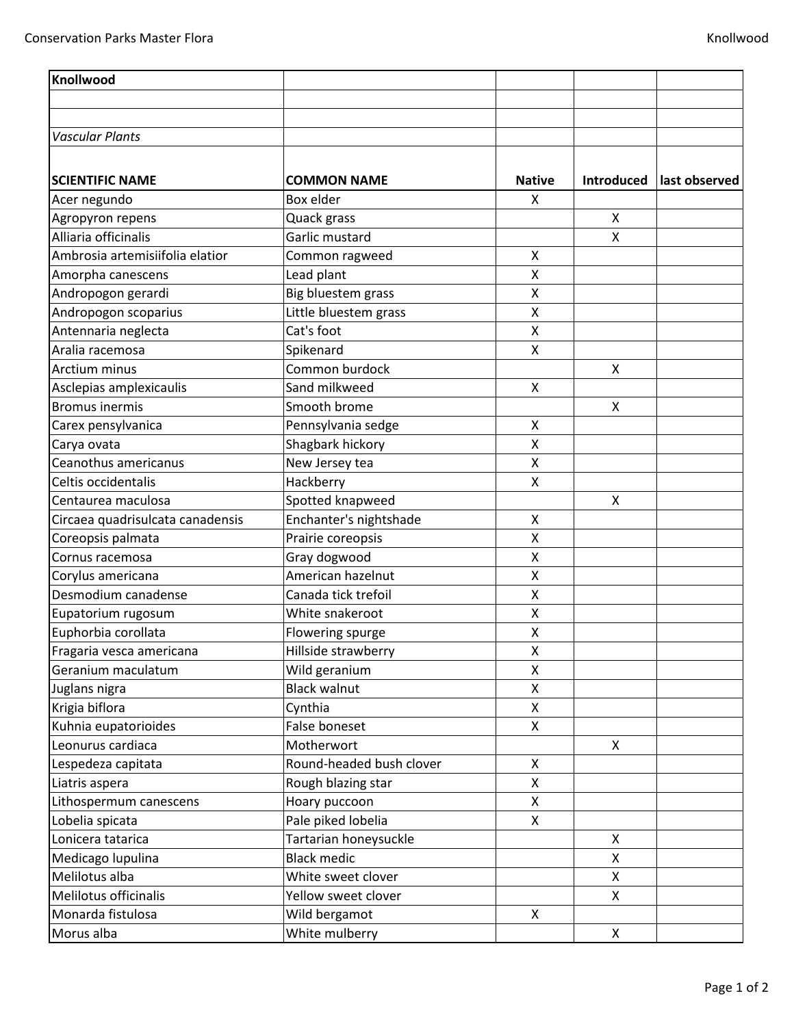| Knollwood                        |                          |                           |                   |               |
|----------------------------------|--------------------------|---------------------------|-------------------|---------------|
|                                  |                          |                           |                   |               |
|                                  |                          |                           |                   |               |
| <b>Vascular Plants</b>           |                          |                           |                   |               |
|                                  |                          |                           |                   |               |
| <b>SCIENTIFIC NAME</b>           | <b>COMMON NAME</b>       | <b>Native</b>             | <b>Introduced</b> | last observed |
| Acer negundo                     | Box elder                | X                         |                   |               |
| Agropyron repens                 | Quack grass              |                           | X                 |               |
| Alliaria officinalis             | Garlic mustard           |                           | X                 |               |
| Ambrosia artemisiifolia elatior  | Common ragweed           | X                         |                   |               |
| Amorpha canescens                | Lead plant               | Χ                         |                   |               |
| Andropogon gerardi               | Big bluestem grass       | X                         |                   |               |
| Andropogon scoparius             | Little bluestem grass    | X                         |                   |               |
| Antennaria neglecta              | Cat's foot               | Χ                         |                   |               |
| Aralia racemosa                  | Spikenard                | $\boldsymbol{\mathsf{X}}$ |                   |               |
| Arctium minus                    | Common burdock           |                           | X                 |               |
| Asclepias amplexicaulis          | Sand milkweed            | $\pmb{\mathsf{X}}$        |                   |               |
| <b>Bromus inermis</b>            | Smooth brome             |                           | X                 |               |
| Carex pensylvanica               | Pennsylvania sedge       | X                         |                   |               |
| Carya ovata                      | Shagbark hickory         | X                         |                   |               |
| Ceanothus americanus             | New Jersey tea           | $\pmb{\mathsf{X}}$        |                   |               |
| Celtis occidentalis              | Hackberry                | $\pmb{\mathsf{X}}$        |                   |               |
| Centaurea maculosa               | Spotted knapweed         |                           | X                 |               |
| Circaea quadrisulcata canadensis | Enchanter's nightshade   | Χ                         |                   |               |
| Coreopsis palmata                | Prairie coreopsis        | $\pmb{\times}$            |                   |               |
| Cornus racemosa                  | Gray dogwood             | X                         |                   |               |
| Corylus americana                | American hazelnut        | Χ                         |                   |               |
| Desmodium canadense              | Canada tick trefoil      | X                         |                   |               |
| Eupatorium rugosum               | White snakeroot          | X                         |                   |               |
| Euphorbia corollata              | Flowering spurge         | Χ                         |                   |               |
| Fragaria vesca americana         | Hillside strawberry      | $\pmb{\mathsf{X}}$        |                   |               |
| Geranium maculatum               | Wild geranium            | X                         |                   |               |
| Juglans nigra                    | <b>Black walnut</b>      | X                         |                   |               |
| Krigia biflora                   | Cynthia                  | X                         |                   |               |
| Kuhnia eupatorioides             | False boneset            | X                         |                   |               |
| Leonurus cardiaca                | Motherwort               |                           | X                 |               |
| Lespedeza capitata               | Round-headed bush clover | X                         |                   |               |
| Liatris aspera                   | Rough blazing star       | X                         |                   |               |
| Lithospermum canescens           | Hoary puccoon            | X                         |                   |               |
| Lobelia spicata                  | Pale piked lobelia       | X                         |                   |               |
| Lonicera tatarica                | Tartarian honeysuckle    |                           | X                 |               |
| Medicago lupulina                | <b>Black medic</b>       |                           | X                 |               |
| Melilotus alba                   | White sweet clover       |                           | X                 |               |
| Melilotus officinalis            | Yellow sweet clover      |                           | X                 |               |
| Monarda fistulosa                | Wild bergamot            | X                         |                   |               |
| Morus alba                       | White mulberry           |                           | X                 |               |